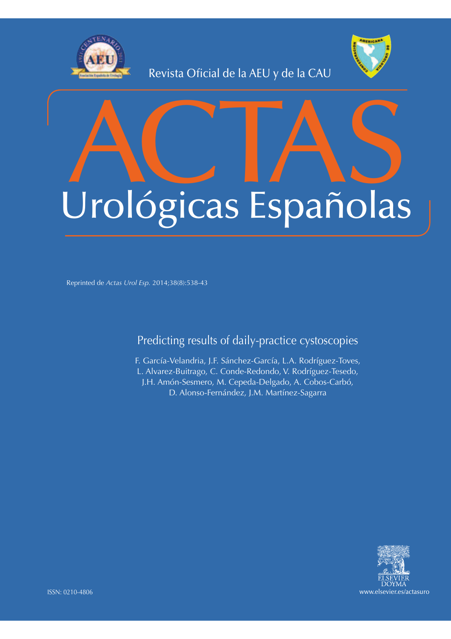

Revista Oficial de la AEU y de la CAU



# ACTAS Urológicas Españolas

Reprinted de *Actas Urol Esp.* 2014;38(8):538-43

Predicting results of daily-practice cystoscopies

F. García-Velandria, J.F. Sánchez-García, L.A. Rodríguez-Toves, L. Alvarez-Buitrago, C. Conde-Redondo, V. Rodríguez-Tesedo, J.H. Amón-Sesmero, M. Cepeda-Delgado, A. Cobos-Carbó, D. Alonso-Fernández, J.M. Martínez-Sagarra

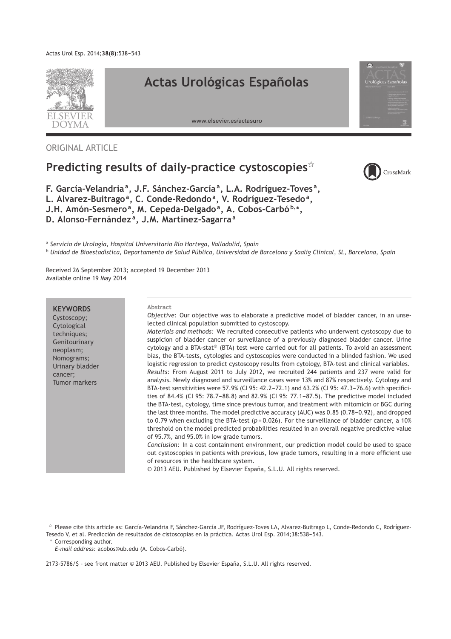

ORIGINAL ARTICLE

# Predicting results of daily-practice cystoscopies<sup>\*</sup>



**F. García-Velandria<sup>a</sup> , J.F. Sánchez-García<sup>a</sup> , L.A. Rodríguez-Toves <sup>a</sup> ,** L. Alvarez-Buitrago<sup>a</sup>, C. Conde-Redondo<sup>a</sup>, V. Rodríguez-Tesedo<sup>a</sup>, **J.H. Amón-Sesmero<sup>a</sup> , M. Cepeda-Delgado<sup>a</sup> , A. Cobos-Carbó <sup>b</sup>**,<sup>∗</sup> **, D. Alonso-Fernández <sup>a</sup> , J.M. Martínez-Sagarra<sup>a</sup>**

a *Servicio de Urología, Hospital Universitario Río Hortega, Valladolid, Spain* <sup>b</sup> *Unidad de Bioestadística, Departamento de Salud Pública, Universidad de Barcelona y Saalig Clinical, SL, Barcelona, Spain*

Received 26 September 2013; accepted 19 December 2013 Available online 19 May 2014

# **KEYWORDS**

Cystoscopy; Cytological techniques; Genitourinary neoplasm; Nomograms; Urinary bladder cancer; Tumor markers

#### **Abstract**

*Objective:* Our objective was to elaborate a predictive model of bladder cancer, in an unselected clinical population submitted to cystoscopy.

*Materials and methods:* We recruited consecutive patients who underwent cystoscopy due to suspicion of bladder cancer or surveillance of a previously diagnosed bladder cancer. Urine cytology and a BTA-stat® (BTA) test were carried out for all patients. To avoid an assessment bias, the BTA-tests, cytologies and cystoscopies were conducted in a blinded fashion. We used logistic regression to predict cystoscopy results from cytology, BTA-test and clinical variables. *Results:* From August 2011 to July 2012, we recruited 244 patients and 237 were valid for analysis. Newly diagnosed and surveillance cases were 13% and 87% respectively. Cytology and BTA-test sensitivities were 57.9% (CI 95: 42.2-72.1) and 63.2% (CI 95: 47.3-76.6) with specificities of 84.4% (CI 95: 78.7-88.8) and 82.9% (CI 95: 77.1-87.5). The predictive model included the BTA-test, cytology, time since previous tumor, and treatment with mitomicin or BGC during

the last three months. The model predictive accuracy (AUC) was 0.85 (0.78-0.92), and dropped to 0.79 when excluding the BTA-test ( $p = 0.026$ ). For the surveillance of bladder cancer, a 10% threshold on the model predicted probabilities resulted in an overall negative predictive value of 95.7%, and 95.0% in low grade tumors.

*Conclusion:* In a cost containment environment, our prediction model could be used to space out cystoscopies in patients with previous, low grade tumors, resulting in a more efficient use of resources in the healthcare system.

© 2013 AEU. Published by Elsevier España, S.L.U. All rights reserved.

Corresponding author.

Please cite this article as: García-Velandria F, Sánchez-García JF, Rodríguez-Toves LA, Alvarez-Buitrago L, Conde-Redondo C, Rodríguez-Tesedo V, et al. Predicción de resultados de cistoscopias en la práctica. Actas Urol Esp. 2014;38:538-543.

*E-mail address:* acobos@ub.edu (A. Cobos-Carbó).

<sup>2173-5786/\$ –</sup> see front matter © 2013 AEU. Published by Elsevier España, S.L.U. All rights reserved.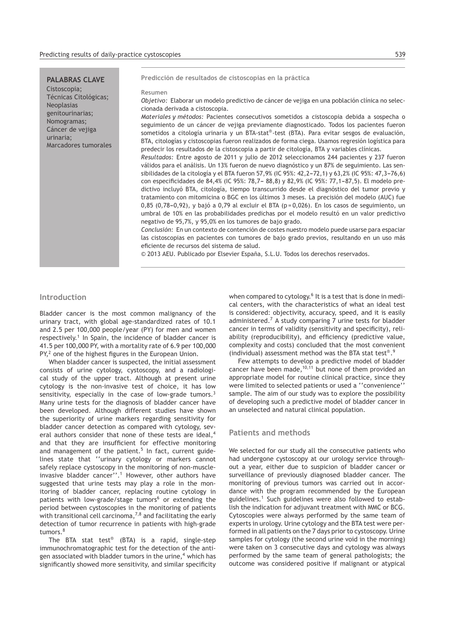# **PALABRAS CLAVE**

Cistoscopia; Técnicas Citológicas; Neoplasias genitourinarias; Nomogramas; Cáncer de vejiga urinaria; Marcadores tumorales **Predicción de resultados de cistoscopias en la práctica**

#### **Resumen**

*Objetivo:* Elaborar un modelo predictivo de cáncer de vejiga en una población clínica no seleccionada derivada a cistoscopia.

*Materiales y métodos:* Pacientes consecutivos sometidos a cistoscopia debida a sospecha o seguimiento de un cáncer de vejiga previamente diagnosticado. Todos los pacientes fueron sometidos a citología urinaria y un BTA-stat®-test (BTA). Para evitar sesgos de evaluación, BTA, citologías y cistoscopias fueron realizados de forma ciega. Usamos regresión logística para predecir los resultados de la cistoscopia a partir de citología, BTA y variables clínicas.

*Resultados:* Entre agosto de 2011 y julio de 2012 seleccionamos 244 pacientes y 237 fueron válidos para el análisis. Un 13% fueron de nuevo diagnóstico y un 87% de seguimiento. Las sensibilidades de la citología y el BTA fueron 57,9% (IC 95%: 42,2-72,1) y 63,2% (IC 95%: 47,3-76,6) con especificidades de 84,4% (IC 95%: 78,7-88,8) y 82,9% (IC 95%: 77,1-87,5). El modelo predictivo incluyó BTA, citología, tiempo transcurrido desde el diagnóstico del tumor previo y tratamiento con mitomicina o BGC en los últimos 3 meses. La precisión del modelo (AUC) fue  $0,85$  (0,78-0,92), y bajó a 0,79 al excluir el BTA (p = 0,026). En los casos de seguimiento, un umbral de 10% en las probabilidades predichas por el modelo resultó en un valor predictivo negativo de 95,7%, y 95,0% en los tumores de bajo grado.

*Conclusión:* En un contexto de contención de costes nuestro modelo puede usarse para espaciar las cistoscopias en pacientes con tumores de bajo grado previos, resultando en un uso más eficiente de recursos del sistema de salud.

© 2013 AEU. Publicado por Elsevier España, S.L.U. Todos los derechos reservados.

# **Introduction**

Bladder cancer is the most common malignancy of the urinary tract, with global age-standardized rates of 10.1 and 2.5 per 100,000 people/year (PY) for men and women respectively.<sup>1</sup> In Spain, the incidence of bladder cancer is 41.5 per 100,000 PY, with a mortality rate of 6.9 per 100,000 PY,<sup>2</sup> one of the highest figures in the European Union.

When bladder cancer is suspected, the initial assessment consists of urine cytology, cystoscopy, and a radiological study of the upper tract. Although at present urine cytology is the non-invasive test of choice, it has low sensitivity, especially in the case of low-grade tumors.<sup>3</sup> Many urine tests for the diagnosis of bladder cancer have been developed. Although different studies have shown the superiority of urine markers regarding sensitivity for bladder cancer detection as compared with cytology, several authors consider that none of these tests are ideal.<sup>4</sup> and that they are insufficient for effective monitoring and management of the patient.<sup>5</sup> In fact, current guidelines state that ''urinary cytology or markers cannot safely replace cystoscopy in the monitoring of non-muscleinvasive bladder cancer''.<sup>1</sup> However, other authors have suggested that urine tests may play a role in the monitoring of bladder cancer, replacing routine cytology in patients with low-grade/stage tumors<sup>6</sup> or extending the period between cystoscopies in the monitoring of patients with transitional cell carcinoma,  $7,8$  and facilitating the early detection of tumor recurrence in patients with high-grade tumors.<sup>8</sup>

The BTA stat test® (BTA) is a rapid, single-step immunochromatographic test for the detection of the antigen associated with bladder tumors in the urine, $4$  which has significantly showed more sensitivity, and similar specificity

when compared to cytology.<sup>6</sup> It is a test that is done in medical centers, with the characteristics of what an ideal test is considered: objectivity, accuracy, speed, and it is easily administered.<sup>7</sup> A study comparing 7 urine tests for bladder cancer in terms of validity (sensitivity and specificity), reliability (reproducibility), and efficiency (predictive value, complexity and costs) concluded that the most convenient (individual) assessment method was the BTA stat test®.9

Few attempts to develop a predictive model of bladder cancer have been made,  $10,11$  but none of them provided an appropriate model for routine clinical practice, since they were limited to selected patients or used a ''convenience'' sample. The aim of our study was to explore the possibility of developing such a predictive model of bladder cancer in an unselected and natural clinical population.

# **Patients and methods**

We selected for our study all the consecutive patients who had undergone cystoscopy at our urology service throughout a year, either due to suspicion of bladder cancer or surveillance of previously diagnosed bladder cancer. The monitoring of previous tumors was carried out in accordance with the program recommended by the European guidelines.<sup>1</sup> Such guidelines were also followed to establish the indication for adjuvant treatment with MMC or BCG. Cytoscopies were always performed by the same team of experts in urology. Urine cytology and the BTA test were performed in all patients on the 7 days prior to cystoscopy. Urine samples for cytology (the second urine void in the morning) were taken on 3 consecutive days and cytology was always performed by the same team of general pathologists; the outcome was considered positive if malignant or atypical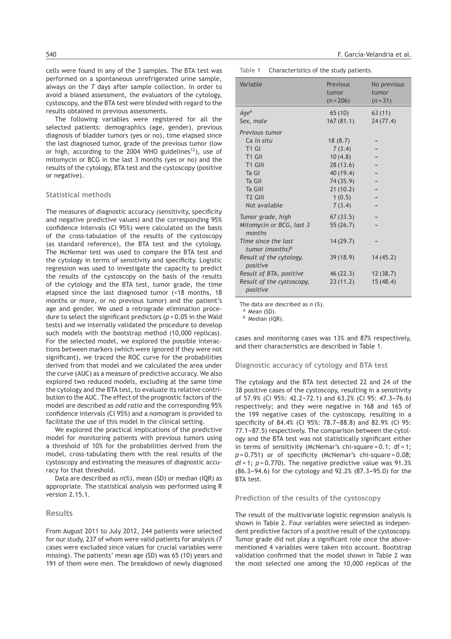cells were found in any of the 3 samples. The BTA test was performed on a spontaneous unrefrigerated urine sample, always on the 7 days after sample collection. In order to avoid a biased assessment, the evaluators of the cytology, cystoscopy, and the BTA test were blinded with regard to the results obtained in previous assessments.

The following variables were registered for all the selected patients: demographics (age, gender), previous diagnosis of bladder tumors (yes or no), time elapsed since the last diagnosed tumor, grade of the previous tumor (low or high, according to the 2004 WHO guidelines<sup>12</sup>), use of mitomycin or BCG in the last 3 months (yes or no) and the results of the cytology, BTA test and the cystoscopy (positive or negative).

# **Statistical methods**

The measures of diagnostic accuracy (sensitivity, specificity and negative predictive values) and the corresponding 95% confidence intervals (CI 95%) were calculated on the basis of the cross-tabulation of the results of the cystoscopy (as standard reference), the BTA test and the cytology. The McNemar test was used to compare the BTA test and the cytology in terms of sensitivity and specificity. Logistic regression was used to investigate the capacity to predict the results of the cystoscopy on the basis of the results of the cytology and the BTA test, tumor grade, the time elapsed since the last diagnosed tumor (<18 months, 18 months or more, or no previous tumor) and the patient's age and gender. We used a retrograde elimination procedure to select the significant predictors (*p* < 0.05 in the Wald tests) and we internally validated the procedure to develop such models with the bootstrap method (10,000 replicas). For the selected model, we explored the possible interactions between markers (which were ignored if they were not significant), we traced the ROC curve for the probabilities derived from that model and we calculated the area under the curve (AUC) as a measure of predictive accuracy. We also explored two reduced models, excluding at the same time the cytology and the BTA test, to evaluate its relative contribution to the AUC. The effect of the prognostic factors of the model are described as *odd ratio* and the corresponding 95% confidence intervals (CI 95%) and a nomogram is provided to facilitate the use of this model in the clinical setting.

We explored the practical implications of the predictive model for monitoring patients with previous tumors using a threshold of 10% for the probabilities derived from the model, cross-tabulating them with the real results of the cystoscopy and estimating the measures of diagnostic accuracy for that threshold.

Data are described as *n*(%), mean (SD) or median (IQR) as appropriate. The statistical analysis was performed using R version 2.15.1.

# **Results**

From August 2011 to July 2012, 244 patients were selected for our study, 237 of whom were valid patients for analysis (7 cases were excluded since values for crucial variables were missing). The patients' mean age (SD) was 65 (10) years and 191 of them were men. The breakdown of newly diagnosed

**Table 1** Characteristics of the study patients.

| Variable                                           | Previous<br>tumor<br>$(n=206)$ | No previous<br>tumor<br>$(n=31)$ |
|----------------------------------------------------|--------------------------------|----------------------------------|
| Age <sup>a</sup>                                   | 65(10)                         | 63(11)                           |
| Sex, male                                          | 167(81.1)                      | 24(77.4)                         |
| Previous tumor                                     |                                |                                  |
| Ca in situ                                         | 18(8.7)                        |                                  |
| T <sub>1</sub> GI                                  | 7(3.4)                         |                                  |
| T <sub>1</sub> GII                                 | 10(4.8)                        |                                  |
| T1 GIII                                            | 28(13.6)                       |                                  |
| Ta GI                                              | 40 (19.4)                      |                                  |
| Ta GII                                             | 74 (35.9)                      |                                  |
| Ta GIII                                            | 21(10.2)                       |                                  |
| T <sub>2</sub> GIII                                | 1(0.5)                         |                                  |
| Not available                                      | 7(3.4)                         |                                  |
| Tumor grade, high                                  | 67(33.5)                       |                                  |
| Mitomycin or BCG, last 3<br>months                 | 55(26.7)                       |                                  |
| Time since the last<br>tumor (months) <sup>b</sup> | 14(29.7)                       |                                  |
| Result of the cytology,<br>positive                | 39(18.9)                       | 14(45.2)                         |
| Result of BTA, positive                            | 46 (22.3)                      | 12(38.7)                         |
| Result of the cystoscopy,<br>positive              | 23(11.2)                       | 15(48.4)                         |

The data are described as *n* (%).

a Mean (SD).

<sup>b</sup> Median (IQR).

cases and monitoring cases was 13% and 87% respectively, and their characteristics are described in Table 1.

#### **Diagnostic accuracy of cytology and BTA test**

The cytology and the BTA test detected 22 and 24 of the 38 positive cases of the cystoscopy, resulting in a sensitivity of 57.9% (CI 95%: 42.2-72.1) and 63.2% (CI 95: 47.3-76.6) respectively; and they were negative in 168 and 165 of the 199 negative cases of the cystoscopy, resulting in a specificity of 84.4% (CI 95%: 78.7-88.8) and 82.9% (CI 95: 77.1-87.5) respectively. The comparison between the cytology and the BTA test was not statistically significant either in terms of sensitivity (McNemar's chi-square =  $0.1$ ; df = 1; *p* = 0.751) or of specificity (McNemar's chi-square = 0.08; df = 1; *p* = 0.770). The negative predictive value was 91.3%  $(86.3-94.6)$  for the cytology and  $92.2%$   $(87.3-95.0)$  for the BTA test.

#### **Prediction of the results of the cystoscopy**

The result of the multivariate logistic regression analysis is shown in Table 2. Four variables were selected as independent predictive factors of a positive result of the cystoscopy. Tumor grade did not play a significant role once the abovementioned 4 variables were taken into account. Bootstrap validation confirmed that the model shown in Table 2 was the most selected one among the 10,000 replicas of the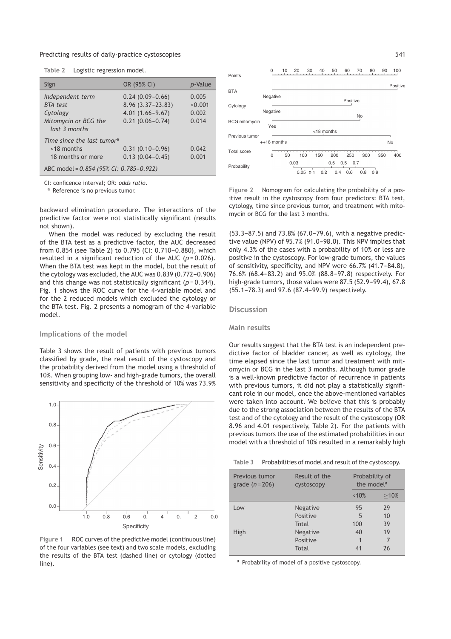#### Predicting results of daily-practice cystoscopies 541

| Table 2 |  | Logistic regression model. |  |
|---------|--|----------------------------|--|
|         |  |                            |  |

| Sign                                                                                     | OR (95% CI)                                                                               | <i>p</i> -Value                    |
|------------------------------------------------------------------------------------------|-------------------------------------------------------------------------------------------|------------------------------------|
| Independent term<br><b>BTA</b> test<br>Cytology<br>Mitomycin or BCG the<br>last 3 months | $0.24(0.09 - 0.66)$<br>$8.96(3.37 - 23.83)$<br>$4.01(1.66 - 9.67)$<br>$0.21(0.06 - 0.74)$ | 0.005<br>< 0.001<br>0.002<br>0.014 |
| Time since the last tumor <sup>a</sup><br>$<$ 18 months<br>18 months or more             | $0.31(0.10 - 0.96)$<br>$0.13(0.04 - 0.45)$                                                | 0.042<br>0.001                     |
| ABC model = 0.854 (95% CI: 0.785-0.922)                                                  |                                                                                           |                                    |

CI: conficence interval; OR: *odds ratio*.

<sup>a</sup> Reference is no previous tumor.

backward elimination procedure. The interactions of the predictive factor were not statistically significant (results not shown).

When the model was reduced by excluding the result of the BTA test as a predictive factor, the AUC decreased from 0.854 (see Table 2) to 0.795 (CI: 0.710-0.880), which resulted in a significant reduction of the AUC (*p* = 0.026). When the BTA test was kept in the model, but the result of the cytology was excluded, the AUC was  $0.839$   $(0.772 - 0.906)$ and this change was not statistically significant (*p* = 0.344). Fig. 1 shows the ROC curve for the 4-variable model and for the 2 reduced models which excluded the cytology or the BTA test. Fig. 2 presents a nomogram of the 4-variable model.

#### **Implications of the model**

Table 3 shows the result of patients with previous tumors classified by grade, the real result of the cystoscopy and the probability derived from the model using a threshold of 10%. When grouping low- and high-grade tumors, the overall sensitivity and specificity of the threshold of 10% was 73.9%



**Figure 1** ROC curves of the predictive model (continuous line) of the four variables (see text) and two scale models, excluding the results of the BTA test (dashed line) or cytology (dotted line).



**Figure 2** Nomogram for calculating the probability of a positive result in the cystoscopy from four predictors: BTA test, cytology, time since previous tumor, and treatment with mitomycin or BCG for the last 3 months.

 $(53.3-87.5)$  and  $73.8%$   $(67.0-79.6)$ , with a negative predictive value (NPV) of  $95.7\%$  ( $91.0-98.0$ ). This NPV implies that only 4.3% of the cases with a probability of 10% or less are positive in the cystoscopy. For low-grade tumors, the values of sensitivity, specificity, and NPV were 66.7% (41.7-84.8), 76.6% (68.4-83.2) and 95.0% (88.8-97.8) respectively. For high-grade tumors, those values were 87.5 (52.9-99.4), 67.8 (55.1-78.3) and 97.6 (87.4-99.9) respectively.

#### **Discussion**

#### **Main results**

Our results suggest that the BTA test is an independent predictive factor of bladder cancer, as well as cytology, the time elapsed since the last tumor and treatment with mitomycin or BCG in the last 3 months. Although tumor grade is a well-known predictive factor of recurrence in patients with previous tumors, it did not play a statistically significant role in our model, once the above-mentioned variables were taken into account. We believe that this is probably due to the strong association between the results of the BTA test and of the cytology and the result of the cystoscopy (OR 8.96 and 4.01 respectively, Table 2). For the patients with previous tumors the use of the estimated probabilities in our model with a threshold of 10% resulted in a remarkably high

**Table 3** Probabilities of model and result of the cystoscopy.

| Previous tumor<br>grade $(n=206)$ | Result of the<br>CVStoscopy | Probability of<br>the model <sup>a</sup> |      |
|-----------------------------------|-----------------------------|------------------------------------------|------|
|                                   |                             | ~10%                                     | >10% |
| Low                               | <b>Negative</b>             | 95                                       | 29   |
|                                   | Positive                    | 5                                        | 10   |
|                                   | Total                       | 100                                      | 39   |
| High                              | Negative                    | 40                                       | 19   |
|                                   | Positive                    | 1                                        | 7    |
|                                   | Total                       | 41                                       | 26   |

a Probability of model of a positive cystoscopy.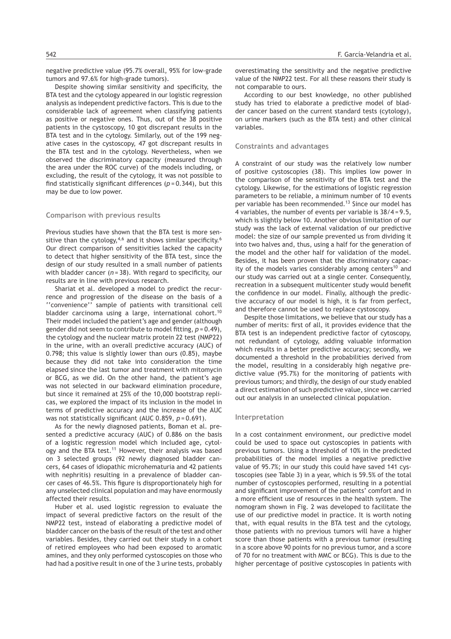negative predictive value (95.7% overall, 95% for low-grade tumors and 97.6% for high-grade tumors).

Despite showing similar sensitivity and specificity, the BTA test and the cytology appeared in our logistic regression analysis as independent predictive factors. This is due to the considerable lack of agreement when classifying patients as positive or negative ones. Thus, out of the 38 positive patients in the cystoscopy, 10 got discrepant results in the BTA test and in the cytology. Similarly, out of the 199 negative cases in the cystoscopy, 47 got discrepant results in the BTA test and in the cytology. Nevertheless, when we observed the discriminatory capacity (measured through the area under the ROC curve) of the models including, or excluding, the result of the cytology, it was not possible to find statistically significant differences (*p* = 0.344), but this may be due to low power.

#### **Comparison with previous results**

Previous studies have shown that the BTA test is more sensitive than the cytology,  $4,6$  and it shows similar specificity.<sup>6</sup> Our direct comparison of sensitivities lacked the capacity to detect that higher sensitivity of the BTA test, since the design of our study resulted in a small number of patients with bladder cancer (*n* = 38). With regard to specificity, our results are in line with previous research.

Shariat et al. developed a model to predict the recurrence and progression of the disease on the basis of a ''convenience'' sample of patients with transitional cell bladder carcinoma using a large, international cohort.<sup>10</sup> Their model included the patient's age and gender (although gender did not seem to contribute to model fitting, *p* = 0.49), the cytology and the nuclear matrix protein 22 test (NMP22) in the urine, with an overall predictive accuracy (AUC) of 0.798; this value is slightly lower than ours (0.85), maybe because they did not take into consideration the time elapsed since the last tumor and treatment with mitomycin or BCG, as we did. On the other hand, the patient's age was not selected in our backward elimination procedure, but since it remained at 25% of the 10,000 bootstrap replicas, we explored the impact of its inclusion in the model in terms of predictive accuracy and the increase of the AUC was not statistically significant (AUC 0.859, *p* = 0.691).

As for the newly diagnosed patients, Boman et al. presented a predictive accuracy (AUC) of 0.886 on the basis of a logistic regression model which included age, cytology and the BTA test.<sup>11</sup> However, their analysis was based on 3 selected groups (92 newly diagnosed bladder cancers, 64 cases of idiopathic microhematuria and 42 patients with nephritis) resulting in a prevalence of bladder cancer cases of 46.5%. This figure is disproportionately high for any unselected clinical population and may have enormously affected their results.

Huber et al. used logistic regression to evaluate the impact of several predictive factors on the result of the NMP22 test, instead of elaborating a predictive model of bladder cancer on the basis of the result of the test and other variables. Besides, they carried out their study in a cohort of retired employees who had been exposed to aromatic amines, and they only performed cystoscopies on those who had had a positive result in one of the 3 urine tests, probably overestimating the sensitivity and the negative predictive value of the NMP22 test. For all these reasons their study is not comparable to ours.

According to our best knowledge, no other published study has tried to elaborate a predictive model of bladder cancer based on the current standard tests (cytology), on urine markers (such as the BTA test) and other clinical variables.

#### **Constraints and advantages**

A constraint of our study was the relatively low number of positive cystoscopies (38). This implies low power in the comparison of the sensitivity of the BTA test and the cytology. Likewise, for the estimations of logistic regression parameters to be reliable, a minimum number of 10 events per variable has been recommended.<sup>13</sup> Since our model has 4 variables, the number of events per variable is 38/4 = 9.5, which is slightly below 10. Another obvious limitation of our study was the lack of external validation of our predictive model: the size of our sample prevented us from dividing it into two halves and, thus, using a half for the generation of the model and the other half for validation of the model. Besides, it has been proven that the discriminatory capacity of the models varies considerably among centers<sup>10</sup> and our study was carried out at a single center. Consequently, recreation in a subsequent multicenter study would benefit the confidence in our model. Finally, although the predictive accuracy of our model is high, it is far from perfect, and therefore cannot be used to replace cystoscopy.

Despite those limitations, we believe that our study has a number of merits: first of all, it provides evidence that the BTA test is an independent predictive factor of cytoscopy, not redundant of cytology, adding valuable information which results in a better predictive accuracy; secondly, we documented a threshold in the probabilities derived from the model, resulting in a considerably high negative predictive value (95.7%) for the monitoring of patients with previous tumors; and thirdly, the design of our study enabled a direct estimation of such predictive value, since we carried out our analysis in an unselected clinical population.

#### **Interpretation**

In a cost containment environment, our predictive model could be used to space out cystoscopies in patients with previous tumors. Using a threshold of 10% in the predicted probabilities of the model implies a negative predictive value of 95.7%; in our study this could have saved 141 cystoscopies (see Table 3) in a year, which is 59.5% of the total number of cystoscopies performed, resulting in a potential and significant improvement of the patients' comfort and in a more efficient use of resources in the health system. The nomogram shown in Fig. 2 was developed to facilitate the use of our predictive model in practice. It is worth noting that, with equal results in the BTA test and the cytology, those patients with no previous tumors will have a higher score than those patients with a previous tumor (resulting in a score above 90 points for no previous tumor, and a score of 70 for no treatment with MMC or BCG). This is due to the higher percentage of positive cystoscopies in patients with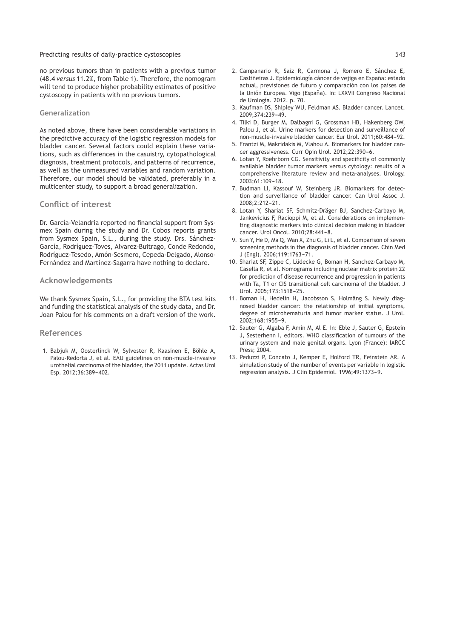no previous tumors than in patients with a previous tumor (48.4 *versus* 11.2%, from Table 1). Therefore, the nomogram will tend to produce higher probability estimates of positive cystoscopy in patients with no previous tumors.

# **Generalization**

As noted above, there have been considerable variations in the predictive accuracy of the logistic regression models for bladder cancer. Several factors could explain these variations, such as differences in the casuistry, cytopathological diagnosis, treatment protocols, and patterns of recurrence, as well as the unmeasured variables and random variation. Therefore, our model should be validated, preferably in a multicenter study, to support a broad generalization.

# **Conflict of interest**

Dr. García-Velandria reported no financial support from Sysmex Spain during the study and Dr. Cobos reports grants from Sysmex Spain, S.L., during the study. Drs. Sánchez-García, Rodríguez-Toves, Alvarez-Buitrago, Conde Redondo, Rodríguez-Tesedo, Amón-Sesmero, Cepeda-Delgado, Alonso-Fernández and Martínez-Sagarra have nothing to declare.

# **Acknowledgements**

We thank Sysmex Spain, S.L., for providing the BTA test kits and funding the statistical analysis of the study data, and Dr. Joan Palou for his comments on a draft version of the work.

## **References**

1. Babjuk M, Oosterlinck W, Sylvester R, Kaasinen E, Böhle A, Palou-Redorta J, et al. EAU guidelines on non-muscle-invasive urothelial carcinoma of the bladder, the 2011 update. Actas Urol Esp. 2012;36:389-402.

- 2. Campanario R, Saiz R, Carmona J, Romero E, Sánchez E, Castiñeiras J. Epidemiología cáncer de vejiga en España: estado actual, previsiones de futuro y comparación con los países de la Unión Europea. Vigo (España). In: LXXVII Congreso Nacional de Urología. 2012. p. 70.
- 3. Kaufman DS, Shipley WU, Feldman AS. Bladder cancer. Lancet. 2009;374:239-49.
- 4. Tilki D, Burger M, Dalbagni G, Grossman HB, Hakenberg OW, Palou J, et al. Urine markers for detection and surveillance of non-muscle-invasive bladder cancer. Eur Urol. 2011:60:484-92.
- 5. Frantzi M, Makridakis M, Vlahou A. Biomarkers for bladder cancer aggressiveness. Curr Opin Urol. 2012:22:390-6.
- 6. Lotan Y, Roehrborn CG. Sensitivity and specificity of commonly available bladder tumor markers versus cytology: results of a comprehensive literature review and meta-analyses. Urology.  $2003:61:109-18$
- 7. Budman LI, Kassouf W, Steinberg JR. Biomarkers for detection and surveillance of bladder cancer. Can Urol Assoc J.  $2008:2:212-21$ .
- 8. Lotan Y, Shariat SF, Schmitz-Dräger BJ, Sanchez-Carbayo M, Jankevicius F, Racioppi M, et al. Considerations on implementing diagnostic markers into clinical decision making in bladder cancer. Urol Oncol. 2010;28:441-8.
- 9. Sun Y, He D, Ma Q, Wan X, Zhu G, Li L, et al. Comparison of seven screening methods in the diagnosis of bladder cancer. Chin Med J (Engl). 2006;119:1763-71.
- 10. Shariat SF, Zippe C, Lüdecke G, Boman H, Sanchez-Carbayo M, Casella R, et al. Nomograms including nuclear matrix protein 22 for prediction of disease recurrence and progression in patients with Ta, T1 or CIS transitional cell carcinoma of the bladder. J Urol. 2005;173:1518-25.
- 11. Boman H, Hedelin H, Jacobsson S, Holmäng S. Newly diagnosed bladder cancer: the relationship of initial symptoms, degree of microhematuria and tumor marker status. J Urol.  $2002:168:1955-9.$
- 12. Sauter G, Algaba F, Amin M, Al E. In: Eble J, Sauter G, Epstein J, Sesterhenn I, editors. WHO classification of tumours of the urinary system and male genital organs. Lyon (France): IARCC Press; 2004.
- 13. Peduzzi P, Concato J, Kemper E, Holford TR, Feinstein AR. A simulation study of the number of events per variable in logistic regression analysis. J Clin Epidemiol. 1996;49:1373-9.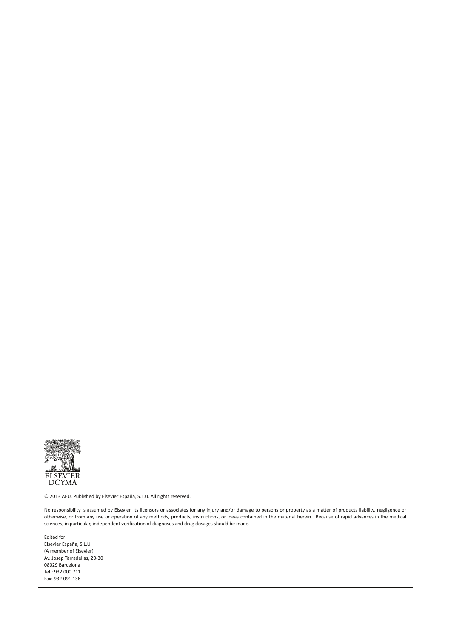

© 2013 AEU. Published by Elsevier España, S.L.U. All rights reserved.

No responsibility is assumed by Elsevier, its licensors or associates for any injury and/or damage to persons or property as a matter of products liability, negligence or otherwise, or from any use or operation of any methods, products, instructions, or ideas contained in the material herein. Because of rapid advances in the medical sciences, in particular, independent verification of diagnoses and drug dosages should be made.

Edited for: Elsevier España, S.L.U. (A member of Elsevier) Av. Josep Tarradellas, 20-30 08029 Barcelona Tel.: 932 000 711 Fax: 932 091 136